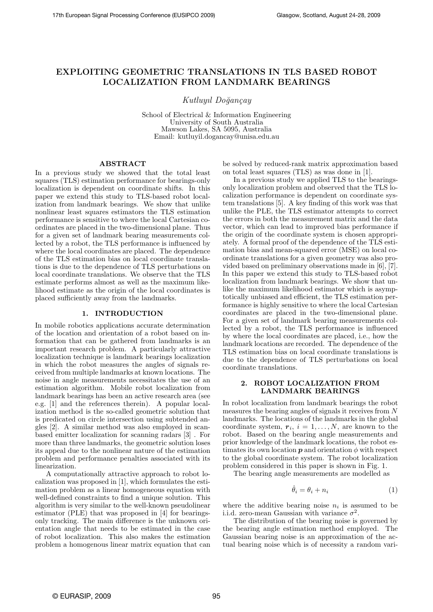# **EXPLOITING GEOMETRIC TRANSLATIONS IN TLS BASED ROBOT LOCALIZATION FROM LANDMARK BEARINGS**

*Kutluyıl Do˘gan¸cay*

School of Electrical & Information Engineering University of South Australia Mawson Lakes, SA 5095, Australia Email: kutluyil.dogancay@unisa.edu.au

# **ABSTRACT**

In a previous study we showed that the total least squares (TLS) estimation performance for bearings-only localization is dependent on coordinate shifts. In this paper we extend this study to TLS-based robot localization from landmark bearings. We show that unlike nonlinear least squares estimators the TLS estimation performance is sensitive to where the local Cartesian coordinates are placed in the two-dimensional plane. Thus for a given set of landmark bearing measurements collected by a robot, the TLS performance is influenced by where the local coordinates are placed. The dependence of the TLS estimation bias on local coordinate translations is due to the dependence of TLS perturbations on local coordinate translations. We observe that the TLS estimate performs almost as well as the maximum likelihood estimate as the origin of the local coordinates is placed sufficiently away from the landmarks.

### **1. INTRODUCTION**

In mobile robotics applications accurate determination of the location and orientation of a robot based on information that can be gathered from landmarks is an important research problem. A particularly attractive localization technique is landmark bearings localization in which the robot measures the angles of signals received from multiple landmarks at known locations. The noise in angle measurements necessitates the use of an estimation algorithm. Mobile robot localization from landmark bearings has been an active research area (see e.g. [1] and the references therein). A popular localization method is the so-called geometric solution that is predicated on circle intersection using subtended angles [2]. A similar method was also employed in scanbased emitter localization for scanning radars [3] . For more than three landmarks, the geometric solution loses its appeal due to the nonlinear nature of the estimation problem and performance penalties associated with its linearization.

A computationally attractive approach to robot localization was proposed in [1], which formulates the estimation problem as a linear homogeneous equation with well-defined constraints to find a unique solution. This algorithm is very similar to the well-known pseudolinear estimator (PLE) that was proposed in [4] for bearingsonly tracking. The main difference is the unknown orientation angle that needs to be estimated in the case of robot localization. This also makes the estimation problem a homogenous linear matrix equation that can be solved by reduced-rank matrix approximation based on total least squares (TLS) as was done in [1].

In a previous study we applied TLS to the bearingsonly localization problem and observed that the TLS localization performance is dependent on coordinate system translations [5]. A key finding of this work was that unlike the PLE, the TLS estimator attempts to correct the errors in both the measurement matrix and the data vector, which can lead to improved bias performance if the origin of the coordinate system is chosen appropriately. A formal proof of the dependence of the TLS estimation bias and mean-squared error (MSE) on local coordinate translations for a given geometry was also provided based on preliminary observations made in [6], [7]. In this paper we extend this study to TLS-based robot localization from landmark bearings. We show that unlike the maximum likelihood estimator which is asymptotically unbiased and efficient, the TLS estimation performance is highly sensitive to where the local Cartesian coordinates are placed in the two-dimensional plane. For a given set of landmark bearing measurements collected by a robot, the TLS performance is influenced by where the local coordinates are placed, i.e., how the landmark locations are recorded. The dependence of the TLS estimation bias on local coordinate translations is due to the dependence of TLS perturbations on local coordinate translations.

### **2. ROBOT LOCALIZATION FROM LANDMARK BEARINGS**

In robot localization from landmark bearings the robot measures the bearing angles of signals it receives from N landmarks. The locations of the landmarks in the global coordinate system,  $r_i$ ,  $i = 1, \ldots, N$ , are known to the robot. Based on the bearing angle measurements and prior knowledge of the landmark locations, the robot estimates its own location  $p$  and orientation  $\phi$  with respect to the global coordinate system. The robot localization problem considered in this paper is shown in Fig. 1.

The bearing angle measurements are modelled as

$$
\hat{\theta}_i = \theta_i + n_i \tag{1}
$$

where the additive bearing noise  $n_i$  is assumed to be i.i.d. zero-mean Gaussian with variance  $\sigma^2$ .

The distribution of the bearing noise is governed by the bearing angle estimation method employed. The Gaussian bearing noise is an approximation of the actual bearing noise which is of necessity a random vari-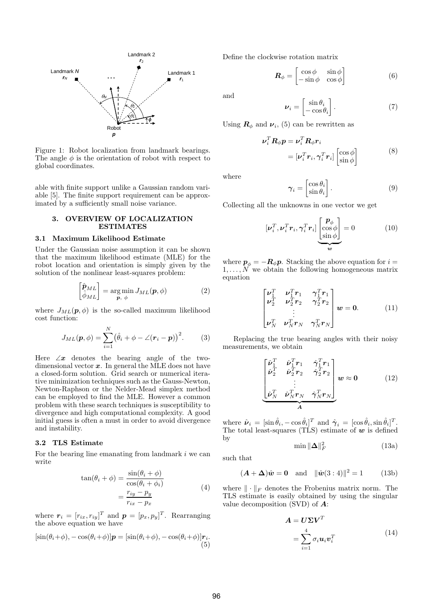

Figure 1: Robot localization from landmark bearings. The angle  $\phi$  is the orientation of robot with respect to global coordinates.

able with finite support unlike a Gaussian random variable [5]. The finite support requirement can be approximated by a sufficiently small noise variance.

### **3. OVERVIEW OF LOCALIZATION ESTIMATES**

### **3.1 Maximum Likelihood Estimate**

Under the Gaussian noise assumption it can be shown that the maximum likelihood estimate (MLE) for the robot location and orientation is simply given by the solution of the nonlinear least-squares problem:

$$
\begin{bmatrix} \hat{\mathbf{p}}_{ML} \\ \hat{\phi}_{ML} \end{bmatrix} = \underset{\mathbf{p}, \phi}{\arg \min} J_{ML}(\mathbf{p}, \phi) \tag{2}
$$

where  $J_{ML}(\boldsymbol{p}, \phi)$  is the so-called maximum likelihood cost function:

$$
J_{ML}(\boldsymbol{p}, \phi) = \sum_{i=1}^{N} (\hat{\theta}_i + \phi - \angle(\boldsymbol{r}_i - \boldsymbol{p}))^2.
$$
 (3)

Here  $\angle x$  denotes the bearing angle of the twodimensional vector  $x$ . In general the MLE does not have a closed-form solution. Grid search or numerical iterative minimization techniques such as the Gauss-Newton, Newton-Raphson or the Nelder-Mead simplex method can be employed to find the MLE. However a common problem with these search techniques is susceptibility to divergence and high computational complexity. A good initial guess is often a must in order to avoid divergence and instability.

# **3.2 TLS Estimate**

For the bearing line emanating from landmark i we can write

$$
\tan(\theta_i + \phi) = \frac{\sin(\theta_i + \phi)}{\cos(\theta_i + \phi_i)}
$$
  
= 
$$
\frac{r_{iy} - p_y}{r_{ix} - p_x}
$$
 (4)

where  $r_i = [r_{ix}, r_{iy}]^T$  and  $p = [p_x, p_y]^T$ . Rearranging the above equation we have

$$
[\sin(\theta_i + \phi), -\cos(\theta_i + \phi)]\mathbf{p} = [\sin(\theta_i + \phi), -\cos(\theta_i + \phi)]\mathbf{r}_i.
$$
\n(5)

Define the clockwise rotation matrix

$$
\boldsymbol{R}_{\phi} = \begin{bmatrix} \cos \phi & \sin \phi \\ -\sin \phi & \cos \phi \end{bmatrix}
$$
 (6)

and

$$
\nu_i = \begin{bmatrix} \sin \theta_i \\ -\cos \theta_i \end{bmatrix} . \tag{7}
$$

Using  $\mathbf{R}_{\phi}$  and  $\mathbf{\nu}_i$ , (5) can be rewritten as

$$
\nu_i^T \mathbf{R}_{\phi} \mathbf{p} = \nu_i^T \mathbf{R}_{\phi} \mathbf{r}_i
$$
  
= 
$$
[\nu_i^T \mathbf{r}_i, \gamma_i^T \mathbf{r}_i] \begin{bmatrix} \cos \phi \\ \sin \phi \end{bmatrix}
$$
 (8)

where

$$
\gamma_i = \begin{bmatrix} \cos \theta_i \\ \sin \theta_i \end{bmatrix} . \tag{9}
$$

Collecting all the unknowns in one vector we get

$$
[\boldsymbol{\nu}_i^T, \boldsymbol{\nu}_i^T \boldsymbol{r}_i, \boldsymbol{\gamma}_i^T \boldsymbol{r}_i] \underbrace{\begin{bmatrix} \boldsymbol{p}_{\phi} \\ \cos \phi \\ \sin \phi \end{bmatrix}}_{\boldsymbol{w}} = 0 \tag{10}
$$

where  $p_{\phi} = -R_{\phi}p$ . Stacking the above equation for  $i =$  $1,\ldots,N$  we obtain the following homogeneous matrix equation

$$
\begin{bmatrix} \nu_1^T & \nu_1^T r_1 & \gamma_1^T r_1 \\ \nu_2^T & \nu_2^T r_2 & \gamma_2^T r_2 \\ \vdots & \vdots & \vdots \\ \nu_N^T & \nu_N^T r_N & \gamma_N^T r_N \end{bmatrix} w = 0.
$$
 (11)

Replacing the true bearing angles with their noisy measurements, we obtain

$$
\begin{bmatrix}\n\hat{\nu}_1^T & \hat{\nu}_1^T r_1 & \hat{\gamma}_1^T r_1 \\
\hat{\nu}_2^T & \hat{\nu}_2^T r_2 & \hat{\gamma}_2^T r_2 \\
\vdots & \vdots & \vdots \\
\hat{\nu}_N^T & \hat{\nu}_N^T r_N & \hat{\gamma}_N^T r_N\n\end{bmatrix}\n\boldsymbol{w} \approx \boldsymbol{0}
$$
\n(12)

where  $\hat{\nu}_i = [\sin \hat{\theta}_i, -\cos \hat{\theta}_i]^T$  and  $\hat{\gamma}_i = [\cos \hat{\theta}_i, \sin \hat{\theta}_i]^T$ . The total least-squares (TLS) estimate of *w* is defined by

$$
\min \|\Delta\|_F^2 \tag{13a}
$$

such that

$$
(A + \Delta)\hat{w} = 0
$$
 and  $\|\hat{w}(3 : 4)\|^2 = 1$  (13b)

where  $\|\cdot\|_F$  denotes the Frobenius matrix norm. The TLS estimate is easily obtained by using the singular value decomposition (SVD) of *A*:

$$
A = U\Sigma V^T
$$
  
= 
$$
\sum_{i=1}^{4} \sigma_i \mathbf{u}_i \mathbf{v}_i^T
$$
 (14)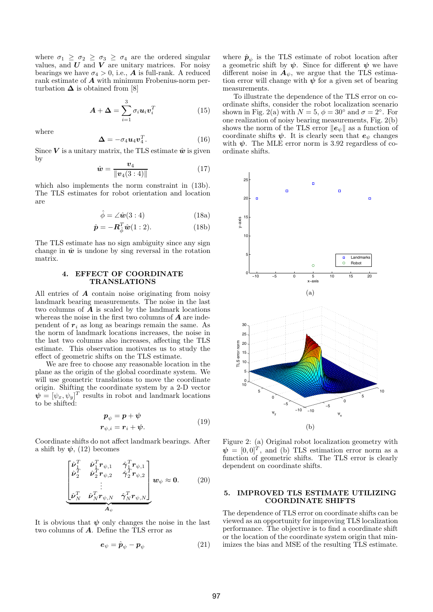where  $\sigma_1 \geq \sigma_2 \geq \sigma_3 \geq \sigma_4$  are the ordered singular values, and  $U$  and  $V$  are unitary matrices. For noisy bearings we have  $\sigma_4 > 0$ , i.e., **A** is full-rank. A reduced rank estimate of *A* with minimum Frobenius-norm perturbation  $\Delta$  is obtained from [8]

$$
\mathbf{A} + \mathbf{\Delta} = \sum_{i=1}^{3} \sigma_i \mathbf{u}_i \mathbf{v}_i^T
$$
 (15)

where

$$
\mathbf{\Delta} = -\sigma_4 \mathbf{u}_4 \mathbf{v}_4^T. \tag{16}
$$

Since  $V$  is a unitary matrix, the TLS estimate  $\hat{w}$  is given by

$$
\hat{\bm{w}} = \frac{\bm{v}_4}{\|\bm{v}_4(3:4)\|} \tag{17}
$$

which also implements the norm constraint in (13b). The TLS estimates for robot orientation and location are

$$
\hat{\phi} = \angle \hat{\mathbf{w}}(3:4) \tag{18a}
$$

$$
\hat{\mathbf{p}} = -\mathbf{R}_{\hat{\phi}}^T \hat{\mathbf{w}} (1:2). \tag{18b}
$$

The TLS estimate has no sign ambiguity since any sign change in  $\hat{w}$  is undone by sing reversal in the rotation matrix.

# **4. EFFECT OF COORDINATE TRANSLATIONS**

All entries of *A* contain noise originating from noisy landmark bearing measurements. The noise in the last two columns of *A* is scaled by the landmark locations whereas the noise in the first two columns of *A* are independent of  $r_i$  as long as bearings remain the same. As the norm of landmark locations increases, the noise in the last two columns also increases, affecting the TLS estimate. This observation motivates us to study the effect of geometric shifts on the TLS estimate.

We are free to choose any reasonable location in the plane as the origin of the global coordinate system. We will use geometric translations to move the coordinate origin. Shifting the coordinate system by a 2-D vector  $\boldsymbol{\psi} = [\psi_x, \psi_y]^T$  results in robot and landmark locations to be shifted:

$$
\begin{aligned} \mathbf{p}_{\psi} &= \mathbf{p} + \mathbf{\psi} \\ \mathbf{r}_{\psi,i} &= \mathbf{r}_i + \mathbf{\psi}. \end{aligned} \tag{19}
$$

Coordinate shifts do not affect landmark bearings. After a shift by  $\psi$ , (12) becomes

$$
\begin{bmatrix}\n\hat{\nu}_1^T & \hat{\nu}_1^T \boldsymbol{r}_{\psi,1} & \hat{\gamma}_1^T \boldsymbol{r}_{\psi,1} \\
\hat{\nu}_2^T & \hat{\nu}_2^T \boldsymbol{r}_{\psi,2} & \hat{\gamma}_2^T \boldsymbol{r}_{\psi,2} \\
\vdots & \vdots & \vdots \\
\hat{\nu}_N^T & \hat{\nu}_N^T \boldsymbol{r}_{\psi,N} & \hat{\gamma}_N^T \boldsymbol{r}_{\psi,N}\n\end{bmatrix} \boldsymbol{w}_{\psi} \approx \boldsymbol{0}.
$$
\n(20)

It is obvious that *ψ* only changes the noise in the last two columns of *A*. Define the TLS error as

$$
\boldsymbol{e}_{\psi} = \hat{\boldsymbol{p}}_{\psi} - \boldsymbol{p}_{\psi} \tag{21}
$$

where  $\hat{\mathbf{p}}_{\psi}$  is the TLS estimate of robot location after a geometric shift by  $\psi$ . Since for different  $\psi$  we have different noise in  $A_{\psi}$ , we argue that the TLS estimation error will change with  $\psi$  for a given set of bearing measurements.

To illustrate the dependence of the TLS error on coordinate shifts, consider the robot localization scenario shown in Fig. 2(a) with  $N = 5$ ,  $\phi = 30^{\circ}$  and  $\sigma = 2^{\circ}$ . For one realization of noisy bearing measurements, Fig. 2(b) shows the norm of the TLS error  $||e_{\psi}||$  as a function of coordinate shifts  $\psi$ . It is clearly seen that  $e_{\psi}$  changes with  $\psi$ . The MLE error norm is 3.92 regardless of coordinate shifts.



Figure 2: (a) Original robot localization geometry with  $\psi = [0, 0]^T$ , and (b) TLS estimation error norm as a function of geometric shifts. The TLS error is clearly dependent on coordinate shifts.

### **5. IMPROVED TLS ESTIMATE UTILIZING COORDINATE SHIFTS**

The dependence of TLS error on coordinate shifts can be viewed as an opportunity for improving TLS localization performance. The objective is to find a coordinate shift or the location of the coordinate system origin that minimizes the bias and MSE of the resulting TLS estimate.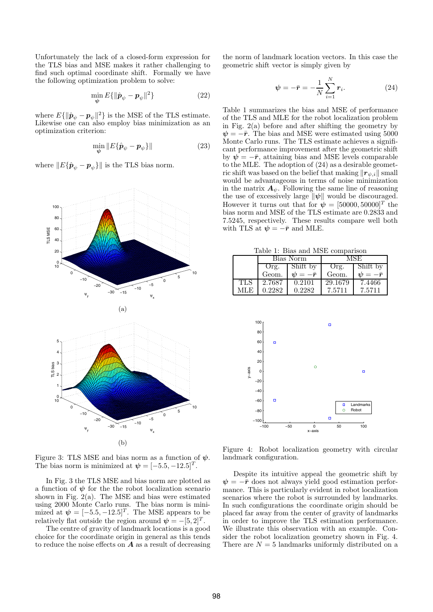Unfortunately the lack of a closed-form expression for the TLS bias and MSE makes it rather challenging to find such optimal coordinate shift. Formally we have the following optimization problem to solve:

$$
\min_{\boldsymbol{\psi}} E\{\|\hat{\boldsymbol{p}}_{\psi} - \boldsymbol{p}_{\psi}\|^2\} \tag{22}
$$

where  $E\{\|\hat{\boldsymbol{p}}_{\psi}-\boldsymbol{p}_{\psi}\|^2\}$  is the MSE of the TLS estimate. Likewise one can also employ bias minimization as an optimization criterion:

$$
\min_{\boldsymbol{\psi}} \| E\{\hat{\boldsymbol{p}}_{\psi} - \boldsymbol{p}_{\psi}\} \| \tag{23}
$$

where  $||E{\hat{\boldsymbol{p}}_{\psi} - \boldsymbol{p}_{\psi}}||$  is the TLS bias norm.



Figure 3: TLS MSE and bias norm as a function of  $\psi$ . The bias norm is minimized at  $\psi = [-5.5, -12.5]^T$ .

In Fig. 3 the TLS MSE and bias norm are plotted as a function of  $\psi$  for the robot localization scenario shown in Fig.  $2(a)$ . The MSE and bias were estimated using 2000 Monte Carlo runs. The bias norm is minimized at  $\psi = [-5.5, -12.5]^T$ . The MSE appears to be relatively flat outside the region around  $\psi = -[5, 2]^T$ .

The centre of gravity of landmark locations is a good choice for the coordinate origin in general as this tends to reduce the noise effects on *A* as a result of decreasing

the norm of landmark location vectors. In this case the geometric shift vector is simply given by

$$
\psi = -\bar{r} = -\frac{1}{N} \sum_{i=1}^{N} r_i.
$$
 (24)

Table 1 summarizes the bias and MSE of performance of the TLS and MLE for the robot localization problem in Fig.  $2(a)$  before and after shifting the geometry by  $\psi = -\bar{r}$ . The bias and MSE were estimated using 5000 Monte Carlo runs. The TLS estimate achieves a significant performance improvement after the geometric shift by  $\psi = -\bar{r}$ , attaining bias and MSE levels comparable to the MLE. The adoption of (24) as a desirable geometric shift was based on the belief that making  $\|\mathbf{r}_{\psi,i}\|$  small would be advantageous in terms of noise minimization in the matrix  $\mathbf{A}_{\psi}$ . Following the same line of reasoning the use of excessively large  $\|\psi\|$  would be discouraged. However it turns out that for  $\psi = [50000, 50000]^T$  the bias norm and MSE of the TLS estimate are 0.2833 and 7.5245, respectively. These results compare well both with TLS at  $\psi = -\bar{r}$  and MLE.

Table 1: Bias and MSE comparison

|     | Bias Norm |                   | ÆSE     |                                            |  |  |
|-----|-----------|-------------------|---------|--------------------------------------------|--|--|
|     | Org.      | Shift by          | Org.    | Shift by                                   |  |  |
|     | Geom.     | $\eta = -\bar{r}$ | Geom.   | $\n  v \cdot \overline{v} = -\overline{r}$ |  |  |
| TLS | 2.7687    | 0.2101            | 29.1679 | 7.4466                                     |  |  |
| MLE | 0.2282    | 0.2282            | 7.5711  | 7.5711                                     |  |  |



Figure 4: Robot localization geometry with circular landmark configuration.

Despite its intuitive appeal the geometric shift by  $\psi = -\bar{r}$  does not always yield good estimation performance. This is particularly evident in robot localization scenarios where the robot is surrounded by landmarks. In such configurations the coordinate origin should be placed far away from the center of gravity of landmarks in order to improve the TLS estimation performance. We illustrate this observation with an example. Consider the robot localization geometry shown in Fig. 4. There are  $N = 5$  landmarks uniformly distributed on a